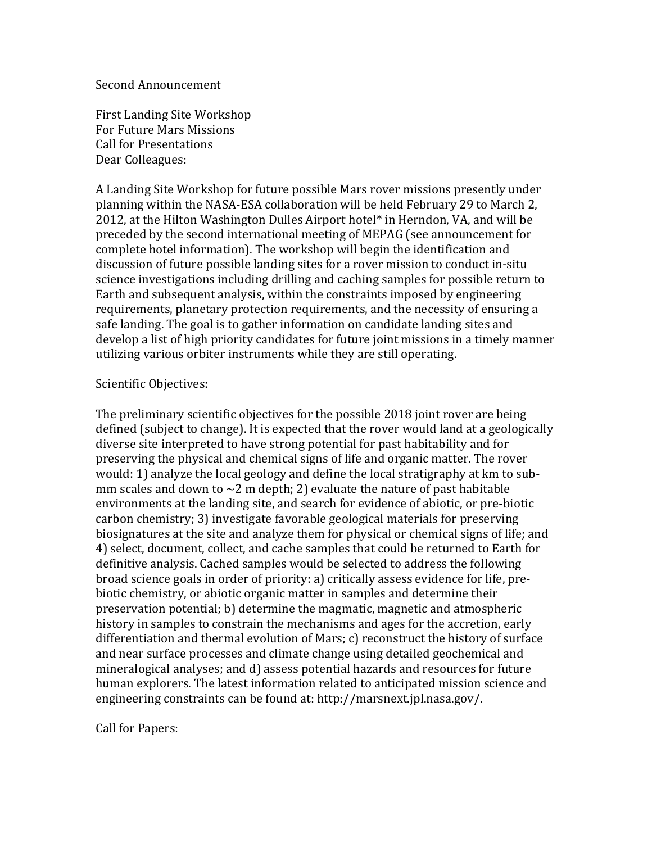## Second'Announcement

First Landing Site Workshop For Future Mars Missions Call for Presentations Dear Colleagues:

A'Landing Site Workshop for future possible Mars rover missions presently under planning within the NASA-ESA collaboration will be held February 29 to March 2, 2012, at the Hilton Washington Dulles Airport hotel\* in Herndon, VA, and will be preceded by the second international meeting of MEPAG (see announcement for complete hotel information). The workshop will begin the identification and discussion of future possible landing sites for a rover mission to conduct in-situ science investigations including drilling and caching samples for possible return to Earth and subsequent analysis, within the constraints imposed by engineering requirements, planetary protection requirements, and the necessity of ensuring a safe landing. The goal is to gather information on candidate landing sites and develop a list of high priority candidates for future joint missions in a timely manner utilizing various orbiter instruments while they are still operating.

## Scientific Objectives:

The preliminary scientific objectives for the possible 2018 joint rover are being defined (subject to change). It is expected that the rover would land at a geologically diverse site interpreted to have strong potential for past habitability and for preserving'the'physical'and'chemical'signs'of'life'and'organic'matter.'The'rover' would: 1) analyze the local geology and define the local stratigraphy at km to submm scales and down to  $\sim$ 2 m depth; 2) evaluate the nature of past habitable environments at the landing site, and search for evidence of abiotic, or pre-biotic carbon chemistry; 3) investigate favorable geological materials for preserving biosignatures at the site and analyze them for physical or chemical signs of life; and 4) select, document, collect, and cache samples that could be returned to Earth for definitive analysis. Cached samples would be selected to address the following broad science goals in order of priority: a) critically assess evidence for life, prebiotic chemistry, or abiotic organic matter in samples and determine their preservation potential; b) determine the magmatic, magnetic and atmospheric history in samples to constrain the mechanisms and ages for the accretion, early differentiation and thermal evolution of Mars; c) reconstruct the history of surface and near surface processes and climate change using detailed geochemical and mineralogical'analyses;'and'd)'assess'potential'hazards'and'resources'for'future' human explorers. The latest information related to anticipated mission science and engineering constraints can be found at: http://marsnext.jpl.nasa.gov/.

Call for Papers: